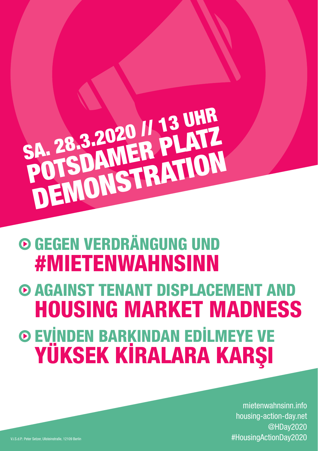## SA. 28.3.2020 // 13 UHR<br>SA. 28.3.2020 // 13 UHR Demon POTSDA D20 // PLATZ<br>MER PLATZ<br>ISTRATION

## Gegen Verdrängung und #Mietenwahnsinn

Evinden barkindan edilmeye ve yüksek kiralara karsi  $\odot$  **AGAINST TENANT DISPLACEMENT AND** housing market madness

mietenwahnsinn.info housing-action-day.net @HDay2020 V.i.S.d.P.: Peter Setzer, Ullsteinstraße, 12109 Berlin #HousingActionDay2020